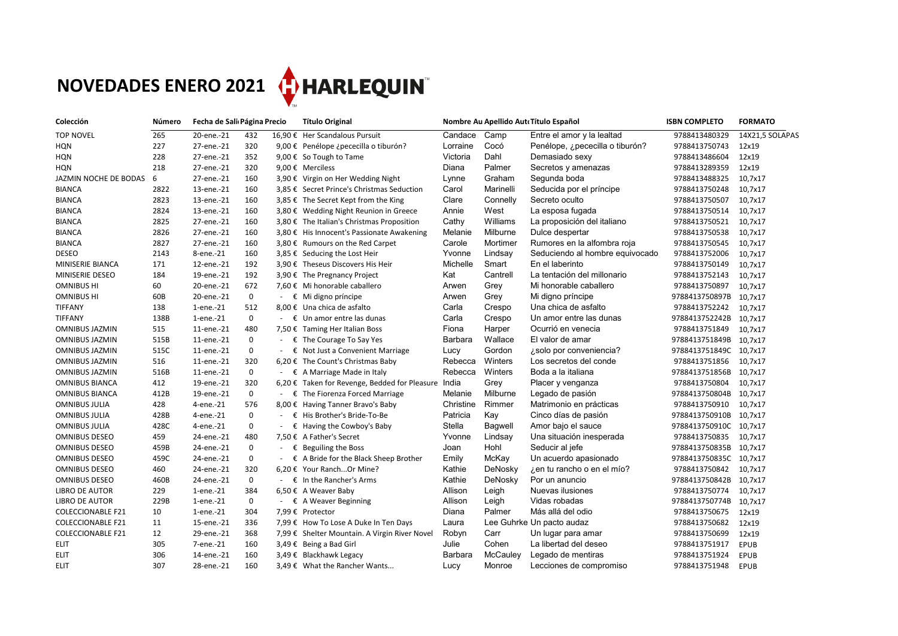## **NOVEDADES ENERO 2021 CHARLEQUIN**

| Colección                | Número | Fecha de Sali Página Precio |              |                | <b>Título Original</b>                           | Nombre Au Apellido AutoTítulo Español |                 |                                 | <b>ISBN COMPLETO</b>   | <b>FORMATO</b>  |  |
|--------------------------|--------|-----------------------------|--------------|----------------|--------------------------------------------------|---------------------------------------|-----------------|---------------------------------|------------------------|-----------------|--|
| <b>TOP NOVEL</b>         | 265    | 20-ene.-21                  | 432          |                | 16,90 € Her Scandalous Pursuit                   | Candace                               | Camp            | Entre el amor y la lealtad      | 9788413480329          | 14X21,5 SOLAPAS |  |
| <b>HQN</b>               | 227    | 27-ene.-21                  | 320          |                | 9,00 € Penélope ¿pececilla o tiburón?            | Lorraine                              | Cocó            | Penélope, ¿pececilla o tiburón? | 9788413750743          | 12x19           |  |
| <b>HQN</b>               | 228    | 27-ene.-21                  | 352          |                | 9,00 € So Tough to Tame                          | Victoria                              | Dahl            | Demasiado sexy                  | 9788413486604          | 12x19           |  |
| <b>HQN</b>               | 218    | 27-ene.-21                  | 320          |                | 9,00 € Merciless                                 | Diana                                 | Palmer          | Secretos y amenazas             | 9788413289359          | 12x19           |  |
| JAZMIN NOCHE DE BODAS    | 6      | 27-ene.-21                  | 160          |                | 3,90 € Virgin on Her Wedding Night               | Lynne                                 | Graham          | Segunda boda                    | 9788413488325          | 10,7x17         |  |
| <b>BIANCA</b>            | 2822   | 13-ene.-21                  | 160          |                | 3,85 € Secret Prince's Christmas Seduction       | Carol                                 | Marinelli       | Seducida por el príncipe        | 9788413750248          | 10,7x17         |  |
| <b>BIANCA</b>            | 2823   | 13-ene.-21                  | 160          |                | 3,85 € The Secret Kept from the King             | Clare                                 | Connelly        | Secreto oculto                  | 9788413750507          | 10,7x17         |  |
| <b>BIANCA</b>            | 2824   | 13-ene.-21                  | 160          |                | 3,80 € Wedding Night Reunion in Greece           | Annie                                 | West            | La esposa fugada                | 9788413750514          | 10,7x17         |  |
| <b>BIANCA</b>            | 2825   | 27-ene.-21                  | 160          |                | 3,80 € The Italian's Christmas Proposition       | Cathy                                 | Williams        | La proposición del italiano     | 9788413750521          | 10,7x17         |  |
| <b>BIANCA</b>            | 2826   | 27-ene.-21                  | 160          |                | 3,80 € His Innocent's Passionate Awakening       | Melanie                               | Milburne        | Dulce despertar                 | 9788413750538          | 10,7x17         |  |
| <b>BIANCA</b>            | 2827   | 27-ene.-21                  | 160          |                | 3,80 € Rumours on the Red Carpet                 | Carole                                | Mortimer        | Rumores en la alfombra roja     | 9788413750545          | 10,7x17         |  |
| <b>DESEO</b>             | 2143   | 8-ene.-21                   | 160          |                | 3,85 € Seducing the Lost Heir                    | Yvonne                                | Lindsay         | Seduciendo al hombre equivocado | 9788413752006          | 10,7x17         |  |
| MINISERIE BIANCA         | 171    | 12-ene.-21                  | 192          |                | 3,90 € Theseus Discovers His Heir                | Michelle                              | Smart           | En el laberinto                 | 9788413750149          | 10,7x17         |  |
| <b>MINISERIE DESEO</b>   | 184    | 19-ene.-21                  | 192          |                | 3,90 € The Pregnancy Project                     | Kat                                   | Cantrell        | La tentación del millonario     | 9788413752143          | 10,7x17         |  |
| <b>OMNIBUS HI</b>        | 60     | 20-ene.-21                  | 672          |                | 7,60 € Mi honorable caballero                    | Arwen                                 | Grey            | Mi honorable caballero          | 9788413750897          | 10,7x17         |  |
| <b>OMNIBUS HI</b>        | 60B    | 20-ene.-21                  | $\mathbf{0}$ |                | - $\epsilon$ Mi digno príncipe                   | Arwen                                 | Grey            | Mi digno príncipe               | 9788413750897B         | 10,7x17         |  |
| <b>TIFFANY</b>           | 138    | 1-ene.-21                   | 512          |                | 8,00 € Una chica de asfalto                      | Carla                                 | Crespo          | Una chica de asfalto            | 9788413752242          | 10,7x17         |  |
| <b>TIFFANY</b>           | 138B   | 1-ene.-21                   | $\mathbf{0}$ | €              | Un amor entre las dunas                          | Carla                                 | Crespo          | Un amor entre las dunas         | 9788413752242B         | 10,7x17         |  |
| <b>OMNIBUS JAZMIN</b>    | 515    | 11-ene.-21                  | 480          |                | 7,50 € Taming Her Italian Boss                   | Fiona                                 | Harper          | Ocurrió en venecia              | 9788413751849          | 10,7x17         |  |
| <b>OMNIBUS JAZMIN</b>    | 515B   | 11-ene.-21                  | $\mathbf 0$  | €              | The Courage To Say Yes                           | <b>Barbara</b>                        | Wallace         | El valor de amar                | 9788413751849B         | 10,7x17         |  |
| <b>OMNIBUS JAZMIN</b>    | 515C   | 11-ene.-21                  | 0            | $ \varepsilon$ | Not Just a Convenient Marriage                   | Lucy                                  | Gordon          | ¿solo por conveniencia?         | 9788413751849C         | 10,7x17         |  |
| <b>OMNIBUS JAZMIN</b>    | 516    | 11-ene.-21                  | 320          |                | 6,20 € The Count's Christmas Baby                | Rebecca                               | Winters         | Los secretos del conde          | 9788413751856          | 10,7x17         |  |
| <b>OMNIBUS JAZMIN</b>    | 516B   | 11-ene.-21                  | 0            |                | $\epsilon$ A Marriage Made in Italy              | Rebecca                               | Winters         | Boda a la italiana              | 9788413751856B         | 10,7x17         |  |
| <b>OMNIBUS BIANCA</b>    | 412    | 19-ene.-21                  | 320          | 6,20€          | Taken for Revenge, Bedded for Pleasure           | India                                 | Grey            | Placer y venganza               | 9788413750804          | 10,7x17         |  |
| <b>OMNIBUS BIANCA</b>    | 412B   | 19-ene.-21                  | $\mathbf 0$  | €              | The Fiorenza Forced Marriage                     | Melanie                               | Milburne        | Legado de pasión                | 9788413750804B         | 10,7x17         |  |
| <b>OMNIBUS JULIA</b>     | 428    | 4-ene.-21                   | 576          |                | 8,00 € Having Tanner Bravo's Baby                | Christine                             | Rimmer          | Matrimonio en prácticas         | 9788413750910          | 10,7x17         |  |
| <b>OMNIBUS JULIA</b>     | 428B   | 4-ene.-21                   | 0            | $ \epsilon$    | His Brother's Bride-To-Be                        | Patricia                              | Kay             | Cinco días de pasión            | 9788413750910B         | 10,7x17         |  |
| <b>OMNIBUS JULIA</b>     | 428C   | 4-ene.-21                   | 0            | €              | Having the Cowboy's Baby                         | Stella                                | <b>Bagwell</b>  | Amor bajo el sauce              | 9788413750910C         | 10,7x17         |  |
| <b>OMNIBUS DESEO</b>     | 459    | 24-ene.-21                  | 480          |                | 7,50 € A Father's Secret                         | Yvonne                                | Lindsay         | Una situación inesperada        | 9788413750835          | 10,7x17         |  |
| <b>OMNIBUS DESEO</b>     | 459B   | 24-ene.-21                  | $\mathbf{0}$ |                | $\epsilon$ Beguiling the Boss                    | Joan                                  | Hohl            | Seducir al jefe                 | 9788413750835B 10,7x17 |                 |  |
| <b>OMNIBUS DESEO</b>     | 459C   | 24-ene.-21                  | 0            |                | - $\epsilon$ A Bride for the Black Sheep Brother | Emily                                 | McKay           | Un acuerdo apasionado           | 9788413750835C 10,7x17 |                 |  |
| <b>OMNIBUS DESEO</b>     | 460    | 24-ene.-21                  | 320          |                | 6,20 € Your RanchOr Mine?                        | Kathie                                | DeNosky         | ¿en tu rancho o en el mío?      | 9788413750842          | 10,7x17         |  |
| <b>OMNIBUS DESEO</b>     | 460B   | 24-ene.-21                  | 0            |                | $\cdot \in \mathbb{R}$ In the Rancher's Arms     | Kathie                                | DeNosky         | Por un anuncio                  | 9788413750842B         | 10,7x17         |  |
| <b>LIBRO DE AUTOR</b>    | 229    | 1-ene.-21                   | 384          |                | 6,50 € A Weaver Baby                             | Allison                               | Leigh           | Nuevas ilusiones                | 9788413750774          | 10,7x17         |  |
| LIBRO DE AUTOR           | 229B   | 1-ene.-21                   | $\mathbf 0$  |                | - $\epsilon$ A Weaver Beginning                  | Allison                               | Leigh           | Vidas robadas                   | 9788413750774B         | 10,7x17         |  |
| <b>COLECCIONABLE F21</b> | 10     | 1-ene.-21                   | 304          |                | 7,99 € Protector                                 | Diana                                 | Palmer          | Más allá del odio               | 9788413750675          | 12x19           |  |
| <b>COLECCIONABLE F21</b> | 11     | 15-ene.-21                  | 336          |                | 7,99 € How To Lose A Duke In Ten Days            | Laura                                 |                 | Lee Guhrke Un pacto audaz       | 9788413750682          | 12x19           |  |
| <b>COLECCIONABLE F21</b> | 12     | 29-ene.-21                  | 368          |                | 7,99 € Shelter Mountain. A Virgin River Novel    | Robyn                                 | Carr            | Un lugar para amar              | 9788413750699          | 12x19           |  |
| <b>ELIT</b>              | 305    | 7-ene.-21                   | 160          |                | 3,49 € Being a Bad Girl                          | Julie                                 | Cohen           | La libertad del deseo           | 9788413751917          | <b>EPUB</b>     |  |
| <b>ELIT</b>              | 306    | 14-ene.-21                  | 160          |                | 3,49 € Blackhawk Legacy                          | <b>Barbara</b>                        | <b>McCauley</b> | Legado de mentiras              | 9788413751924          | <b>EPUB</b>     |  |
| <b>ELIT</b>              | 307    | 28-ene.-21                  | 160          |                | 3,49 € What the Rancher Wants                    | Lucy                                  | Monroe          | Lecciones de compromiso         | 9788413751948          | <b>EPUB</b>     |  |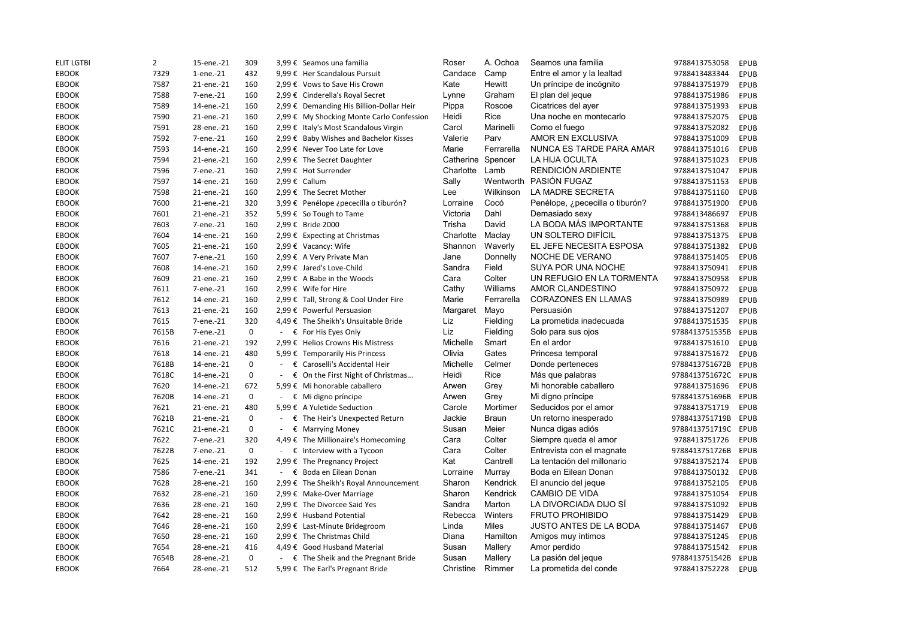| Roser     | A. Ochoa        | Seamos una familia              | 9788413753058  | <b>EPUB</b> |
|-----------|-----------------|---------------------------------|----------------|-------------|
| Candace   | Camp            | Entre el amor y la lealtad      | 9788413483344  | <b>EPUB</b> |
| Kate      | <b>Hewitt</b>   | Un príncipe de incógnito        | 9788413751979  | <b>EPUB</b> |
| Lynne     | Graham          | El plan del jeque               | 9788413751986  | <b>EPUB</b> |
| Pippa     | Roscoe          | Cicatrices del ayer             | 9788413751993  | <b>EPUB</b> |
| Heidi     | <b>Rice</b>     | Una noche en montecarlo         | 9788413752075  | <b>EPUB</b> |
| Carol     | Marinelli       | Como el fuego                   | 9788413752082  | <b>EPUB</b> |
| Valerie   | Parv            | <b>AMOR EN EXCLUSIVA</b>        | 9788413751009  | <b>EPUB</b> |
| Marie     | Ferrarella      | <b>NUNCA ES TARDE PARA AMAR</b> | 9788413751016  | <b>EPUB</b> |
| Catherine | Spencer         | LA HIJA OCULTA                  | 9788413751023  | <b>EPUB</b> |
| Charlotte | Lamb            | RENDICIÓN ARDIENTE              | 9788413751047  | <b>EPUB</b> |
| Sally     | Wentworth       | PASIÓN FUGAZ                    | 9788413751153  | <b>EPUB</b> |
| Lee       | Wilkinson       | LA MADRE SECRETA                | 9788413751160  | <b>EPUB</b> |
| Lorraine  | Cocó            | Penélope, ¿pececilla o tiburón? | 9788413751900  | <b>EPUB</b> |
| Victoria  | Dahl            | Demasiado sexy                  | 9788413486697  | <b>EPUB</b> |
| Trisha    | David           | LA BODA MÁS IMPORTANTE          | 9788413751368  | <b>EPUB</b> |
| Charlotte | Maclay          | UN SOLTERO DIFÍCIL              | 9788413751375  | <b>EPUB</b> |
| Shannon   | Waverly         | EL JEFE NECESITA ESPOSA         | 9788413751382  | <b>EPUB</b> |
| Jane      | Donnelly        | NOCHE DE VERANO                 | 9788413751405  | <b>EPUB</b> |
| Sandra    | Field           | <b>SUYA POR UNA NOCHE</b>       | 9788413750941  | <b>EPUB</b> |
| Cara      | Colter          | UN REFUGIO EN LA TORMENTA       | 9788413750958  | <b>EPUB</b> |
| Cathy     | Williams        | AMOR CLANDESTINO                | 9788413750972  | <b>EPUB</b> |
| Marie     | Ferrarella      | <b>CORAZONES EN LLAMAS</b>      | 9788413750989  | <b>EPUB</b> |
| Margaret  | Mayo            | Persuasión                      | 9788413751207  | <b>EPUB</b> |
| Liz       | Fielding        | La prometida inadecuada         | 9788413751535  | <b>EPUB</b> |
| Liz       | Fielding        | Solo para sus ojos              | 9788413751535B | <b>EPUB</b> |
| Michelle  | Smart           | En el ardor                     | 9788413751610  | <b>EPUB</b> |
| Olivia    | Gates           | Princesa temporal               | 9788413751672  | <b>EPUB</b> |
| Michelle  | Celmer          | Donde perteneces                | 9788413751672B | <b>EPUB</b> |
| Heidi     | <b>Rice</b>     | Más que palabras                | 9788413751672C | <b>EPUB</b> |
| Arwen     | Grey            | Mi honorable caballero          | 9788413751696  | <b>EPUB</b> |
| Arwen     | Grey            | Mi digno príncipe               | 9788413751696B | <b>EPUB</b> |
| Carole    | Mortimer        | Seducidos por el amor           | 9788413751719  | <b>EPUB</b> |
| Jackie    | <b>Braun</b>    | Un retorno inesperado           | 9788413751719B | <b>EPUB</b> |
| Susan     | Meier           | Nunca digas adiós               | 9788413751719C | <b>EPUB</b> |
| Cara      | Colter          | Siempre queda el amor           | 9788413751726  | <b>EPUB</b> |
| Cara      | Colter          | Entrevista con el magnate       | 9788413751726B | <b>EPUB</b> |
| Kat       | Cantrell        | La tentación del millonario     | 9788413752174  | <b>EPUB</b> |
| Lorraine  | Murray          | Boda en Eilean Donan            | 9788413750132  | <b>EPUB</b> |
| Sharon    | <b>Kendrick</b> | El anuncio del jeque            | 9788413752105  | <b>EPUB</b> |
| Sharon    | Kendrick        | <b>CAMBIO DE VIDA</b>           | 9788413751054  | <b>EPUB</b> |
| Sandra    | Marton          | LA DIVORCIADA DIJO SÍ           | 9788413751092  | <b>EPUB</b> |
| Rebecca   | Winters         | <b>FRUTO PROHIBIDO</b>          | 9788413751429  | <b>EPUB</b> |
| Linda     | <b>Miles</b>    | <b>JUSTO ANTES DE LA BODA</b>   | 9788413751467  | <b>EPUB</b> |
| Diana     | Hamilton        | Amigos muy íntimos              | 9788413751245  | <b>EPUB</b> |
| Susan     | Mallery         | Amor perdido                    | 9788413751542  | <b>EPUB</b> |
| Susan     |                 |                                 |                |             |
|           | Mallery         | La pasión del jeque             | 9788413751542B | <b>EPUB</b> |
| Christine | Rimmer          | La prometida del conde          | 9788413752228  | <b>EPUB</b> |

| 88413753058  | EPUB        |
|--------------|-------------|
| '88413483344 | EPUB        |
| '88413751979 | EPUB        |
| 88413751986  | EPUB        |
| '88413751993 | EPUB        |
| '88413752075 | <b>EPUB</b> |
| '88413752082 | EPUB        |
| '88413751009 | EPUB        |
| '88413751016 | EPUB        |
| '88413751023 | EPUB        |
| '88413751047 | EPUB        |
| '88413751153 | EPUB        |
| 88413751160  | EPUB        |
| '88413751900 | EPUB        |
| '88413486697 | EPUB        |
| '88413751368 | EPUB        |
| '88413751375 | EPUB        |
| '88413751382 | EPUB        |
| '88413751405 | EPUB        |
| '88413750941 | EPUB        |
| '88413750958 | EPUB        |
| '88413750972 | EPUB        |
| '88413750989 | <b>EPUB</b> |
| '88413751207 | EPUB        |
| 88413751535  | EPUB        |
| 88413751535B | EPUB        |
| '88413751610 | EPUB        |
| 88413751672  | EPUB        |
| 88413751672B | EPUB        |
| 88413751672C | EPUB        |
| 88413751696  | EPUB        |
| 88413751696B | <b>EPUB</b> |
| '88413751719 | EPUB        |
| 88413751719B | <b>EPUB</b> |
| 88413751719C | <b>EPUB</b> |
| 88413751726  | <b>EPUB</b> |
| 88413751726B | EPUB        |
| '88413752174 | EPUB        |
| 88413750132  | <b>EPUB</b> |
| 88413752105  | <b>EPUB</b> |
| '88413751054 | <b>EPUB</b> |
| '88413751092 | <b>EPUB</b> |
| '88413751429 | <b>EPUB</b> |
| '88413751467 | EPUB        |
| '88413751245 | EPUB        |
| '88413751542 | <b>EPUB</b> |
| 88413751542B | EPUB        |
| 88413752228  | EPUB        |

| <b>ELIT LGTBI</b> | $\overline{2}$ | 15-ene.-21 | 309 |   | 3,99 € Seamos una familia                     | Roser     | A. Ochoa     | Seamos una familia              | 9788413753058  | EPUB        |
|-------------------|----------------|------------|-----|---|-----------------------------------------------|-----------|--------------|---------------------------------|----------------|-------------|
| <b>EBOOK</b>      | 7329           | 1-ene.-21  | 432 |   | 9,99 € Her Scandalous Pursuit                 | Candace   | Camp         | Entre el amor y la lealtad      | 9788413483344  | EPUB        |
| <b>EBOOK</b>      | 7587           | 21-ene.-21 | 160 |   | 2,99 € Vows to Save His Crown                 | Kate      | Hewitt       | Un príncipe de incógnito        | 9788413751979  | EPUB        |
| <b>EBOOK</b>      | 7588           | 7-ene.-21  | 160 |   | 2,99 € Cinderella's Royal Secret              | Lynne     | Graham       | El plan del jeque               | 9788413751986  | EPUB        |
| <b>EBOOK</b>      | 7589           | 14-ene.-21 | 160 |   | 2,99 € Demanding His Billion-Dollar Heir      | Pippa     | Roscoe       | Cicatrices del ayer             | 9788413751993  | EPUB        |
| <b>EBOOK</b>      | 7590           | 21-ene.-21 | 160 |   | 2,99 € My Shocking Monte Carlo Confession     | Heidi     | Rice         | Una noche en montecarlo         | 9788413752075  | EPUB        |
| <b>EBOOK</b>      | 7591           | 28-ene.-21 | 160 |   | 2,99 € Italy's Most Scandalous Virgin         | Carol     | Marinelli    | Como el fuego                   | 9788413752082  | EPUB        |
| <b>EBOOK</b>      | 7592           | 7-ene.-21  | 160 |   | 2,99 € Baby Wishes and Bachelor Kisses        | Valerie   | Parv         | AMOR EN EXCLUSIVA               | 9788413751009  | EPUB        |
| <b>EBOOK</b>      | 7593           | 14-ene.-21 | 160 |   | 2,99 € Never Too Late for Love                | Marie     | Ferrarella   | NUNCA ES TARDE PARA AMAR        | 9788413751016  | EPUB        |
| <b>EBOOK</b>      | 7594           | 21-ene.-21 | 160 |   | 2,99 € The Secret Daughter                    | Catherine | Spencer      | <b>LA HIJA OCULTA</b>           | 9788413751023  | EPUB        |
| <b>EBOOK</b>      | 7596           | 7-ene.-21  | 160 |   | 2,99 € Hot Surrender                          | Charlotte | Lamb         | RENDICIÓN ARDIENTE              | 9788413751047  | EPUB        |
| <b>EBOOK</b>      | 7597           | 14-ene.-21 | 160 |   | 2,99 € Callum                                 | Sally     | Wentworth    | PASIÓN FUGAZ                    | 9788413751153  | EPUB        |
| <b>EBOOK</b>      | 7598           | 21-ene.-21 | 160 |   | 2,99 € The Secret Mother                      | Lee       | Wilkinson    | LA MADRE SECRETA                | 9788413751160  | EPUB        |
| <b>EBOOK</b>      | 7600           | 21-ene.-21 | 320 |   | 3,99 € Penélope ¿pececilla o tiburón?         | Lorraine  | Cocó         | Penélope, ¿pececilla o tiburón? | 9788413751900  | EPUB        |
| <b>EBOOK</b>      | 7601           | 21-ene.-21 | 352 |   | 5,99 € So Tough to Tame                       | Victoria  | Dahl         | Demasiado sexy                  | 9788413486697  | EPUB        |
| <b>EBOOK</b>      | 7603           | 7-ene.-21  | 160 |   | 2,99 € Bride 2000                             | Trisha    | David        | LA BODA MÁS IMPORTANTE          | 9788413751368  | EPUB        |
| <b>EBOOK</b>      | 7604           | 14-ene.-21 | 160 |   | 2,99 € Expecting at Christmas                 | Charlotte | Maclay       | UN SOLTERO DIFÍCIL              | 9788413751375  | EPUB        |
| <b>EBOOK</b>      | 7605           | 21-ene.-21 | 160 |   | 2,99 € Vacancy: Wife                          | Shannon   | Waverly      | EL JEFE NECESITA ESPOSA         | 9788413751382  | EPUB        |
| <b>EBOOK</b>      | 7607           | 7-ene.-21  | 160 |   | 2,99 € A Very Private Man                     | Jane      | Donnelly     | NOCHE DE VERANO                 | 9788413751405  | EPUB        |
| <b>EBOOK</b>      | 7608           | 14-ene.-21 | 160 |   | 2,99 € Jared's Love-Child                     | Sandra    | Field        | <b>SUYA POR UNA NOCHE</b>       | 9788413750941  | EPUB        |
| <b>EBOOK</b>      | 7609           | 21-ene.-21 | 160 |   | 2,99 € A Babe in the Woods                    | Cara      | Colter       | UN REFUGIO EN LA TORMENTA       | 9788413750958  | EPUB        |
| <b>EBOOK</b>      | 7611           | 7-ene.-21  | 160 |   | 2,99 € Wife for Hire                          | Cathy     | Williams     | AMOR CLANDESTINO                | 9788413750972  | EPUB        |
| <b>EBOOK</b>      | 7612           | 14-ene.-21 | 160 |   | 2,99 € Tall, Strong & Cool Under Fire         | Marie     | Ferrarella   | <b>CORAZONES EN LLAMAS</b>      | 9788413750989  | EPUB        |
| <b>EBOOK</b>      | 7613           | 21-ene.-21 | 160 |   | 2,99 € Powerful Persuasion                    | Margaret  | Mayo         | Persuasión                      | 9788413751207  | EPUB        |
| <b>EBOOK</b>      | 7615           | 7-ene.-21  | 320 |   | 4,49 € The Sheikh's Unsuitable Bride          | Liz       | Fielding     | La prometida inadecuada         | 9788413751535  | EPUB        |
| <b>EBOOK</b>      | 7615B          | 7-ene.-21  | 0   |   | € For His Eyes Only                           | Liz       | Fielding     | Solo para sus ojos              | 9788413751535B | EPUB        |
| <b>EBOOK</b>      | 7616           | 21-ene.-21 | 192 |   | 2,99 € Helios Crowns His Mistress             | Michelle  | Smart        | En el ardor                     | 9788413751610  | EPUB        |
| <b>EBOOK</b>      | 7618           | 14-ene.-21 | 480 |   | 5,99 € Temporarily His Princess               | Olivia    | Gates        | Princesa temporal               | 9788413751672  | EPUB        |
| <b>EBOOK</b>      | 7618B          | 14-ene.-21 | 0   |   | € Caroselli's Accidental Heir                 | Michelle  | Celmer       | Donde perteneces                | 9788413751672B | EPUB        |
| <b>EBOOK</b>      | 7618C          | 14-ene.-21 | 0   | € | On the First Night of Christmas               | Heidi     | Rice         | Más que palabras                | 9788413751672C | EPUB        |
| <b>EBOOK</b>      | 7620           | 14-ene.-21 | 672 |   | 5,99 € Mi honorable caballero                 | Arwen     | Grey         | Mi honorable caballero          | 9788413751696  | EPUB        |
| <b>EBOOK</b>      | 7620B          | 14-ene.-21 | 0   |   | - $\epsilon$ Mi digno príncipe                | Arwen     | Grey         | Mi digno príncipe               | 9788413751696B | <b>EPUB</b> |
| <b>EBOOK</b>      | 7621           | 21-ene.-21 | 480 |   | 5,99 € A Yuletide Seduction                   | Carole    | Mortimer     | Seducidos por el amor           | 9788413751719  | EPUB        |
| <b>EBOOK</b>      | 7621B          | 21-ene.-21 | 0   |   | - € The Heir's Unexpected Return              | Jackie    | <b>Braun</b> | Un retorno inesperado           | 9788413751719B | EPUB        |
| <b>EBOOK</b>      | 7621C          | 21-ene.-21 | 0   |   | € Marrying Money                              | Susan     | Meier        | Nunca digas adiós               | 9788413751719C | <b>EPUB</b> |
| <b>EBOOK</b>      | 7622           | 7-ene.-21  | 320 |   | 4,49 € The Millionaire's Homecoming           | Cara      | Colter       | Siempre queda el amor           | 9788413751726  | EPUB        |
| <b>EBOOK</b>      | 7622B          | 7-ene.-21  | 0   |   | - $\epsilon$ Interview with a Tycoon          | Cara      | Colter       | Entrevista con el magnate       | 9788413751726B | EPUB        |
| <b>EBOOK</b>      | 7625           | 14-ene.-21 | 192 |   | 2,99 € The Pregnancy Project                  | Kat       | Cantrell     | La tentación del millonario     | 9788413752174  | EPUB        |
| <b>EBOOK</b>      | 7586           | 7-ene.-21  | 341 |   | - € Boda en Eilean Donan                      | Lorraine  | Murray       | Boda en Eilean Donan            | 9788413750132  | <b>EPUB</b> |
| <b>EBOOK</b>      | 7628           | 28-ene.-21 | 160 |   | 2,99 € The Sheikh's Royal Announcement        | Sharon    | Kendrick     | El anuncio del jeque            | 9788413752105  | EPUB        |
| <b>EBOOK</b>      | 7632           | 28-ene.-21 | 160 |   | 2,99 € Make-Over Marriage                     | Sharon    | Kendrick     | <b>CAMBIO DE VIDA</b>           | 9788413751054  | EPUB        |
| <b>EBOOK</b>      | 7636           | 28-ene.-21 | 160 |   | 2,99 € The Divorcee Said Yes                  | Sandra    | Marton       | LA DIVORCIADA DIJO SÍ           | 9788413751092  | EPUB        |
| <b>EBOOK</b>      | 7642           | 28-ene.-21 | 160 |   | 2,99 € Husband Potential                      | Rebecca   | Winters      | <b>FRUTO PROHIBIDO</b>          | 9788413751429  | <b>EPUB</b> |
| <b>EBOOK</b>      | 7646           | 28-ene.-21 | 160 |   | 2,99 € Last-Minute Bridegroom                 | Linda     | <b>Miles</b> | <b>JUSTO ANTES DE LA BODA</b>   | 9788413751467  | EPUB        |
| <b>EBOOK</b>      | 7650           | 28-ene.-21 | 160 |   | 2,99 € The Christmas Child                    | Diana     | Hamilton     | Amigos muy íntimos              | 9788413751245  | <b>EPUB</b> |
| <b>EBOOK</b>      | 7654           | 28-ene.-21 | 416 |   | 4,49 € Good Husband Material                  | Susan     | Mallery      | Amor perdido                    | 9788413751542  | EPUB        |
| <b>EBOOK</b>      | 7654B          | 28-ene.-21 | 0   |   | - $\epsilon$ The Sheik and the Pregnant Bride | Susan     | Mallery      | La pasión del jeque             | 9788413751542B | EPUB        |
| <b>EBOOK</b>      | 7664           | 28-ene.-21 | 512 |   | 5,99 € The Earl's Pregnant Bride              | Christine | Rimmer       | La prometida del conde          | 9788413752228  | EPUB        |